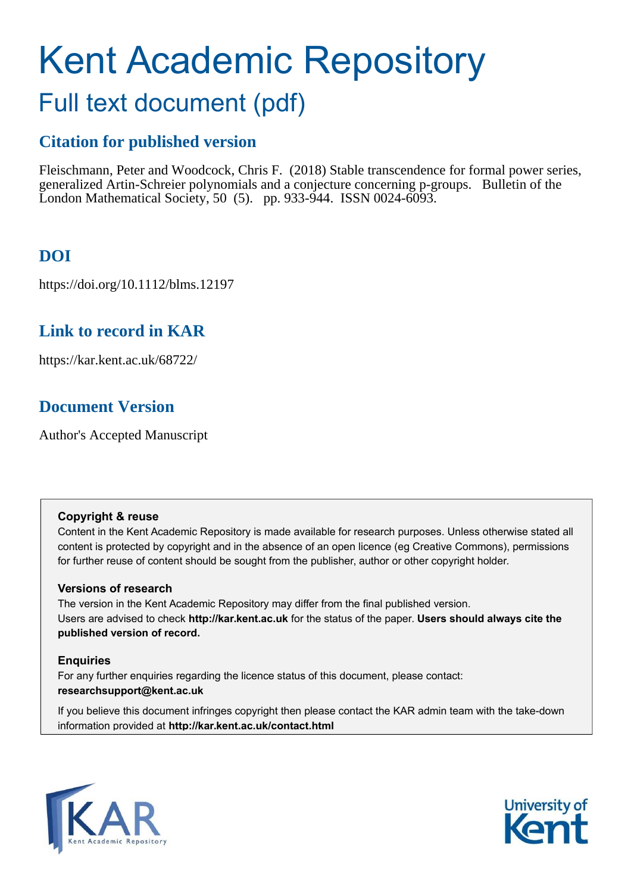# Kent Academic Repository

## Full text document (pdf)

## **Citation for published version**

Fleischmann, Peter and Woodcock, Chris F. (2018) Stable transcendence for formal power series, generalized Artin-Schreier polynomials and a conjecture concerning p-groups. Bulletin of the London Mathematical Society, 50 (5). pp. 933-944. ISSN 0024-6093.

## **DOI**

https://doi.org/10.1112/blms.12197

## **Link to record in KAR**

https://kar.kent.ac.uk/68722/

## **Document Version**

Author's Accepted Manuscript

#### **Copyright & reuse**

Content in the Kent Academic Repository is made available for research purposes. Unless otherwise stated all content is protected by copyright and in the absence of an open licence (eg Creative Commons), permissions for further reuse of content should be sought from the publisher, author or other copyright holder.

#### **Versions of research**

The version in the Kent Academic Repository may differ from the final published version. Users are advised to check **http://kar.kent.ac.uk** for the status of the paper. **Users should always cite the published version of record.**

#### **Enquiries**

For any further enquiries regarding the licence status of this document, please contact: **researchsupport@kent.ac.uk**

If you believe this document infringes copyright then please contact the KAR admin team with the take-down information provided at **http://kar.kent.ac.uk/contact.html**



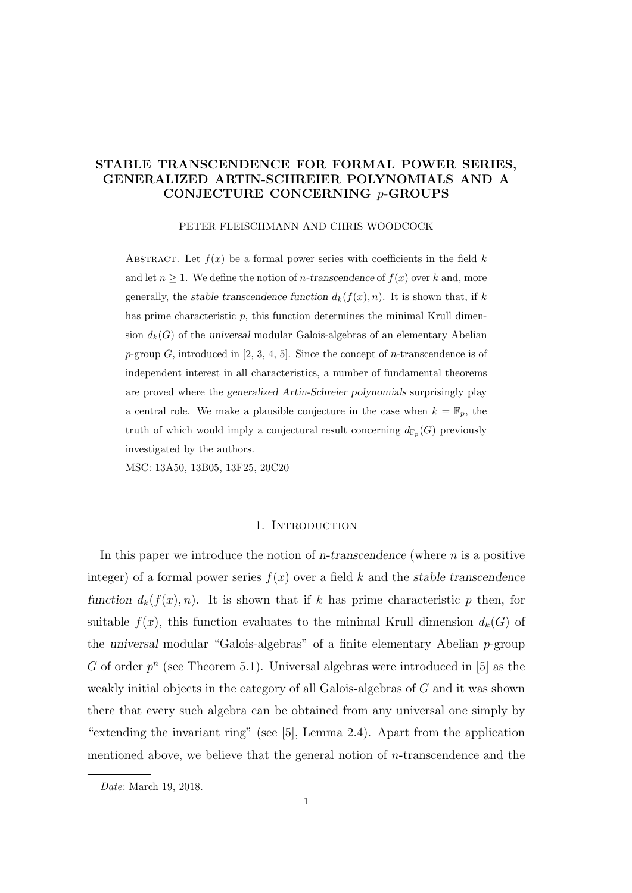#### STABLE TRANSCENDENCE FOR FORMAL POWER SERIES, GENERALIZED ARTIN-SCHREIER POLYNOMIALS AND A CONJECTURE CONCERNING p-GROUPS

#### PETER FLEISCHMANN AND CHRIS WOODCOCK

ABSTRACT. Let  $f(x)$  be a formal power series with coefficients in the field k and let  $n \geq 1$ . We define the notion of *n*-transcendence of  $f(x)$  over k and, more generally, the stable transcendence function  $d_k(f(x), n)$ . It is shown that, if k has prime characteristic  $p$ , this function determines the minimal Krull dimension  $d_k(G)$  of the universal modular Galois-algebras of an elementary Abelian p-group  $G$ , introduced in [2, 3, 4, 5]. Since the concept of *n*-transcendence is of independent interest in all characteristics, a number of fundamental theorems are proved where the generalized Artin-Schreier polynomials surprisingly play a central role. We make a plausible conjecture in the case when  $k = \mathbb{F}_p$ , the truth of which would imply a conjectural result concerning  $d_{\mathbb{F}_p}(G)$  previously investigated by the authors.

MSC: 13A50, 13B05, 13F25, 20C20

#### 1. INTRODUCTION

In this paper we introduce the notion of n-transcendence (where  $n$  is a positive integer) of a formal power series  $f(x)$  over a field k and the stable transcendence function  $d_k(f(x), n)$ . It is shown that if k has prime characteristic p then, for suitable  $f(x)$ , this function evaluates to the minimal Krull dimension  $d_k(G)$  of the universal modular "Galois-algebras" of a finite elementary Abelian p-group G of order  $p^n$  (see Theorem 5.1). Universal algebras were introduced in [5] as the weakly initial objects in the category of all Galois-algebras of G and it was shown there that every such algebra can be obtained from any universal one simply by "extending the invariant ring" (see [5], Lemma 2.4). Apart from the application mentioned above, we believe that the general notion of n-transcendence and the

Date: March 19, 2018.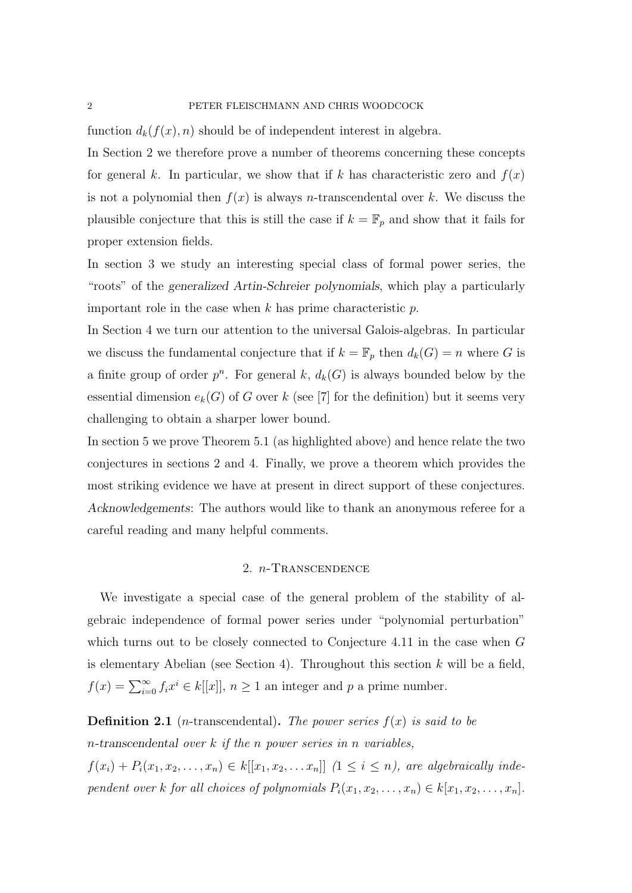function  $d_k(f(x), n)$  should be of independent interest in algebra.

In Section 2 we therefore prove a number of theorems concerning these concepts for general k. In particular, we show that if k has characteristic zero and  $f(x)$ is not a polynomial then  $f(x)$  is always *n*-transcendental over k. We discuss the plausible conjecture that this is still the case if  $k = \mathbb{F}_p$  and show that it fails for proper extension fields.

In section 3 we study an interesting special class of formal power series, the "roots" of the generalized Artin-Schreier polynomials, which play a particularly important role in the case when  $k$  has prime characteristic  $p$ .

In Section 4 we turn our attention to the universal Galois-algebras. In particular we discuss the fundamental conjecture that if  $k = \mathbb{F}_p$  then  $d_k(G) = n$  where G is a finite group of order  $p^n$ . For general k,  $d_k(G)$  is always bounded below by the essential dimension  $e_k(G)$  of G over k (see [7] for the definition) but it seems very challenging to obtain a sharper lower bound.

In section 5 we prove Theorem 5.1 (as highlighted above) and hence relate the two conjectures in sections 2 and 4. Finally, we prove a theorem which provides the most striking evidence we have at present in direct support of these conjectures. Acknowledgements: The authors would like to thank an anonymous referee for a careful reading and many helpful comments.

#### 2. n-Transcendence

We investigate a special case of the general problem of the stability of algebraic independence of formal power series under "polynomial perturbation" which turns out to be closely connected to Conjecture 4.11 in the case when G is elementary Abelian (see Section 4). Throughout this section  $k$  will be a field,  $f(x) = \sum_{i=0}^{\infty} f_i x^i \in k[[x]], n \ge 1$  an integer and p a prime number.

**Definition 2.1** (*n*-transcendental). The power series  $f(x)$  is said to be n-transcendental over k if the n power series in n variables,  $f(x_i) + P_i(x_1, x_2, \ldots, x_n) \in k[[x_1, x_2, \ldots, x_n]]$   $(1 \leq i \leq n)$ , are algebraically independent over k for all choices of polynomials  $P_i(x_1, x_2, \ldots, x_n) \in k[x_1, x_2, \ldots, x_n]$ .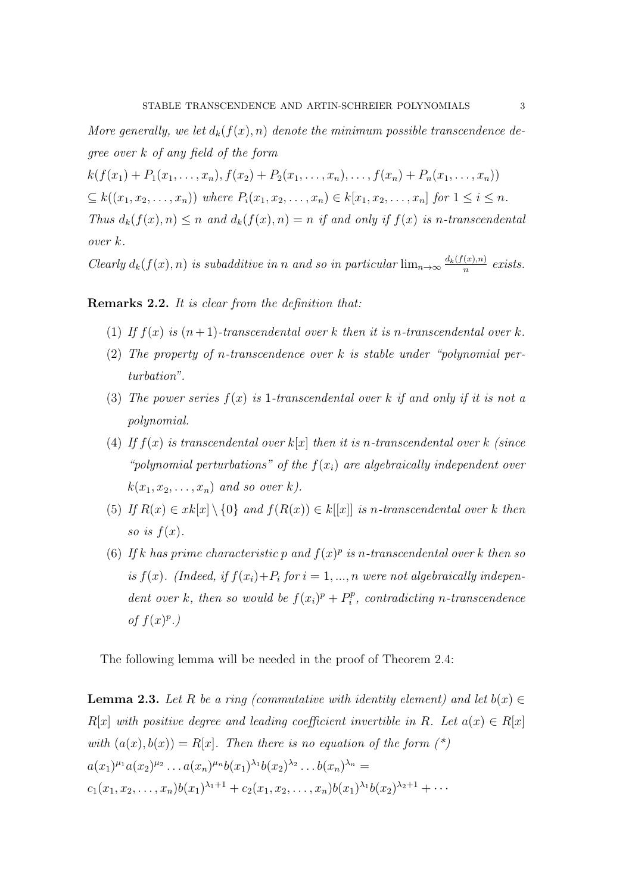More generally, we let  $d_k(f(x), n)$  denote the minimum possible transcendence degree over k of any field of the form

 $k(f(x_1) + P_1(x_1, \ldots, x_n), f(x_2) + P_2(x_1, \ldots, x_n), \ldots, f(x_n) + P_n(x_1, \ldots, x_n))$  $\subseteq k((x_1, x_2, \ldots, x_n))$  where  $P_i(x_1, x_2, \ldots, x_n) \in k[x_1, x_2, \ldots, x_n]$  for  $1 \leq i \leq n$ . Thus  $d_k(f(x), n) \leq n$  and  $d_k(f(x), n) = n$  if and only if  $f(x)$  is n-transcendental over k.

Clearly  $d_k(f(x), n)$  is subadditive in n and so in particular  $\lim_{n\to\infty} \frac{d_k(f(x),n)}{n}$  $\frac{(x),n)}{n}$  exists.

#### Remarks 2.2. It is clear from the definition that:

- (1) If  $f(x)$  is  $(n+1)$ -transcendental over k then it is n-transcendental over k.
- (2) The property of n-transcendence over  $k$  is stable under "polynomial perturbation".
- (3) The power series  $f(x)$  is 1-transcendental over k if and only if it is not a polynomial.
- (4) If  $f(x)$  is transcendental over  $k[x]$  then it is n-transcendental over k (since "polynomial perturbations" of the  $f(x_i)$  are algebraically independent over  $k(x_1, x_2, \ldots, x_n)$  and so over k).
- (5) If  $R(x) \in xk[x] \setminus \{0\}$  and  $f(R(x)) \in k[[x]]$  is n-transcendental over k then so is  $f(x)$ .
- (6) If k has prime characteristic p and  $f(x)^p$  is n-transcendental over k then so is  $f(x)$ . (Indeed, if  $f(x_i)+P_i$  for  $i=1,\dots,n$  were not algebraically independent over k, then so would be  $f(x_i)^p + P_i^p$  $\hat{e}_i^{p}$ , contradicting n-transcendence of  $f(x)^p$ .)

The following lemma will be needed in the proof of Theorem 2.4:

**Lemma 2.3.** Let R be a ring (commutative with identity element) and let  $b(x) \in$  $R[x]$  with positive degree and leading coefficient invertible in R. Let  $a(x) \in R[x]$ with  $(a(x), b(x)) = R[x]$ . Then there is no equation of the form  $(*)$  $a(x_1)^{\mu_1}a(x_2)^{\mu_2}\ldots a(x_n)^{\mu_n}b(x_1)^{\lambda_1}b(x_2)^{\lambda_2}\ldots b(x_n)^{\lambda_n}=$  $c_1(x_1, x_2, \ldots, x_n) b(x_1)^{\lambda_1+1} + c_2(x_1, x_2, \ldots, x_n) b(x_1)^{\lambda_1} b(x_2)^{\lambda_2+1} + \cdots$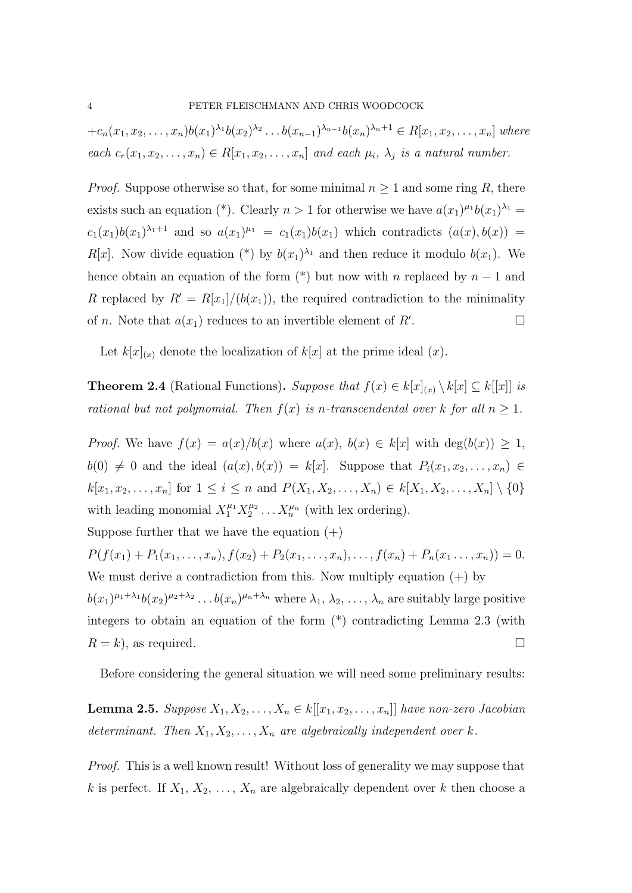$+c_n(x_1, x_2, \ldots, x_n)b(x_1)^{\lambda_1}b(x_2)^{\lambda_2}\ldots b(x_{n-1})^{\lambda_{n-1}}b(x_n)^{\lambda_n+1} \in R[x_1, x_2, \ldots, x_n]$  where each  $c_r(x_1, x_2, \ldots, x_n) \in R[x_1, x_2, \ldots, x_n]$  and each  $\mu_i$ ,  $\lambda_j$  is a natural number.

*Proof.* Suppose otherwise so that, for some minimal  $n \geq 1$  and some ring R, there exists such an equation (\*). Clearly  $n > 1$  for otherwise we have  $a(x_1)^{\mu_1}b(x_1)^{\lambda_1} =$  $c_1(x_1)b(x_1)^{\lambda_1+1}$  and so  $a(x_1)^{\mu_1} = c_1(x_1)b(x_1)$  which contradicts  $(a(x), b(x)) =$  $R[x]$ . Now divide equation (\*) by  $b(x_1)^{\lambda_1}$  and then reduce it modulo  $b(x_1)$ . We hence obtain an equation of the form  $(*)$  but now with n replaced by  $n-1$  and R replaced by  $R' = R[x_1]/(b(x_1))$ , the required contradiction to the minimality of *n*. Note that  $a(x_1)$  reduces to an invertible element of R'. .<br>. — Польский польский польский польский польский польский польский польский польский польский польский польс<br>. — Польский польский польский польский польский польский польский польский польский польский польский польск

Let  $k[x]_{(x)}$  denote the localization of  $k[x]$  at the prime ideal  $(x)$ .

**Theorem 2.4** (Rational Functions). Suppose that  $f(x) \in k[x]_{(x)} \setminus k[x] \subseteq k[[x]]$  is rational but not polynomial. Then  $f(x)$  is n-transcendental over k for all  $n \geq 1$ .

*Proof.* We have  $f(x) = a(x)/b(x)$  where  $a(x), b(x) \in k[x]$  with  $\deg(b(x)) \geq 1$ ,  $b(0) \neq 0$  and the ideal  $(a(x), b(x)) = k[x]$ . Suppose that  $P_i(x_1, x_2, \ldots, x_n) \in$  $k[x_1, x_2, \ldots, x_n]$  for  $1 \le i \le n$  and  $P(X_1, X_2, \ldots, X_n) \in k[X_1, X_2, \ldots, X_n] \setminus \{0\}$ with leading monomial  $X_1^{\mu_1} X_2^{\mu_2}$  $X_n^{\mu_2} \dots X_n^{\mu_n}$  (with lex ordering).

Suppose further that we have the equation  $(+)$ 

 $P(f(x_1) + P_1(x_1, \ldots, x_n), f(x_2) + P_2(x_1, \ldots, x_n), \ldots, f(x_n) + P_n(x_1, \ldots, x_n)) = 0.$ We must derive a contradiction from this. Now multiply equation  $(+)$  by  $b(x_1)^{\mu_1+\lambda_1}b(x_2)^{\mu_2+\lambda_2}\ldots b(x_n)^{\mu_n+\lambda_n}$  where  $\lambda_1, \lambda_2, \ldots, \lambda_n$  are suitably large positive integers to obtain an equation of the form (\*) contradicting Lemma 2.3 (with  $R = k$ , as required.

Before considering the general situation we will need some preliminary results:

**Lemma 2.5.** Suppose  $X_1, X_2, \ldots, X_n \in k[[x_1, x_2, \ldots, x_n]]$  have non-zero Jacobian determinant. Then  $X_1, X_2, \ldots, X_n$  are algebraically independent over k.

Proof. This is a well known result! Without loss of generality we may suppose that k is perfect. If  $X_1, X_2, \ldots, X_n$  are algebraically dependent over k then choose a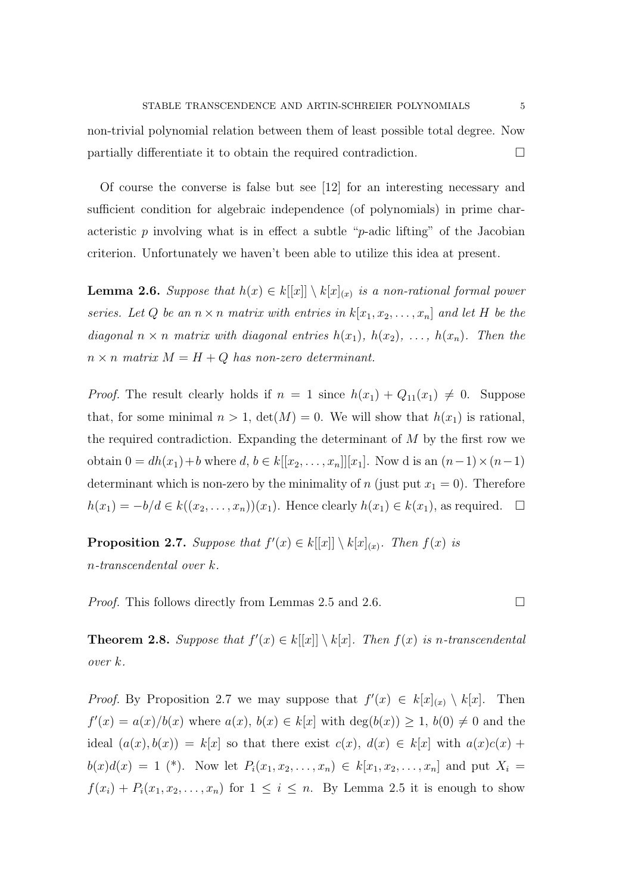non-trivial polynomial relation between them of least possible total degree. Now partially differentiate it to obtain the required contradiction.

Of course the converse is false but see [12] for an interesting necessary and sufficient condition for algebraic independence (of polynomials) in prime characteristic p involving what is in effect a subtle "p-adic lifting" of the Jacobian criterion. Unfortunately we haven't been able to utilize this idea at present.

**Lemma 2.6.** Suppose that  $h(x) \in k[[x]] \setminus k[x]_{(x)}$  is a non-rational formal power series. Let Q be an  $n \times n$  matrix with entries in  $k[x_1, x_2, \ldots, x_n]$  and let H be the diagonal  $n \times n$  matrix with diagonal entries  $h(x_1)$ ,  $h(x_2)$ , ...,  $h(x_n)$ . Then the  $n \times n$  matrix  $M = H + Q$  has non-zero determinant.

*Proof.* The result clearly holds if  $n = 1$  since  $h(x_1) + Q_{11}(x_1) \neq 0$ . Suppose that, for some minimal  $n > 1$ ,  $\det(M) = 0$ . We will show that  $h(x_1)$  is rational, the required contradiction. Expanding the determinant of  $M$  by the first row we obtain  $0 = dh(x_1) + b$  where  $d, b \in k[[x_2, \ldots, x_n]][x_1]$ . Now d is an  $(n-1) \times (n-1)$ determinant which is non-zero by the minimality of n (just put  $x_1 = 0$ ). Therefore  $h(x_1) = -b/d \in k((x_2, \ldots, x_n))(x_1)$ . Hence clearly  $h(x_1) \in k(x_1)$ , as required.  $\Box$ 

**Proposition 2.7.** Suppose that  $f'(x) \in k[[x]] \setminus k[x]_{(x)}$ . Then  $f(x)$  is n-transcendental over k.

*Proof.* This follows directly from Lemmas 2.5 and 2.6.  $\Box$ 

**Theorem 2.8.** Suppose that  $f'(x) \in k[[x]] \setminus k[x]$ . Then  $f(x)$  is n-transcendental over k.

*Proof.* By Proposition 2.7 we may suppose that  $f'(x) \in k[x]_{(x)} \setminus k[x]$ . Then  $f'(x) = a(x)/b(x)$  where  $a(x), b(x) \in k[x]$  with  $\deg(b(x)) \geq 1, b(0) \neq 0$  and the ideal  $(a(x), b(x)) = k[x]$  so that there exist  $c(x), d(x) \in k[x]$  with  $a(x)c(x)$  +  $b(x)d(x) = 1$  (\*). Now let  $P_i(x_1, x_2, ..., x_n) \in k[x_1, x_2, ..., x_n]$  and put  $X_i =$  $f(x_i) + P_i(x_1, x_2, \ldots, x_n)$  for  $1 \leq i \leq n$ . By Lemma 2.5 it is enough to show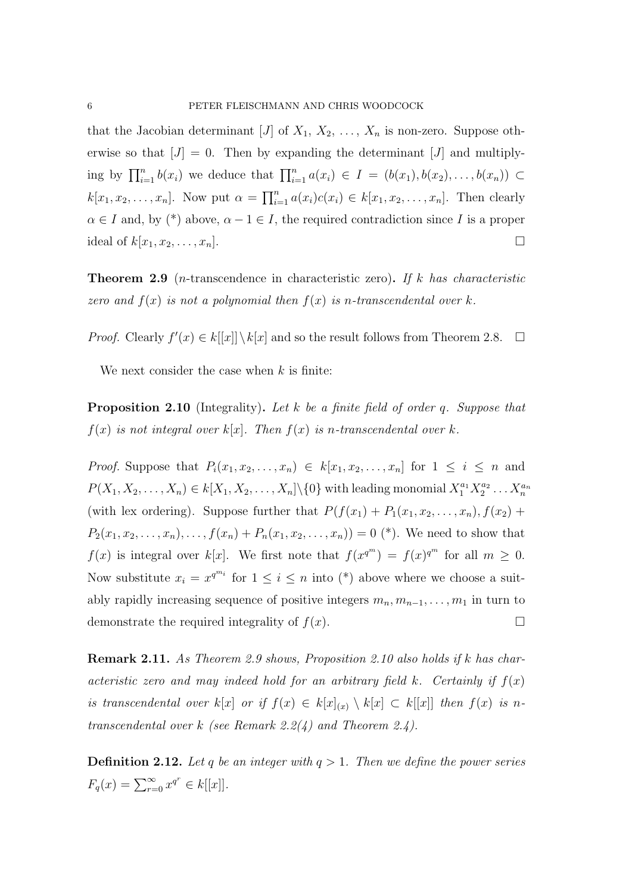that the Jacobian determinant [J] of  $X_1, X_2, \ldots, X_n$  is non-zero. Suppose otherwise so that  $[J] = 0$ . Then by expanding the determinant [J] and multiplying by  $\prod_{i=1}^n b(x_i)$  we deduce that  $\prod_{i=1}^n a(x_i) \in I = (b(x_1), b(x_2), \ldots, b(x_n)) \subset$  $k[x_1, x_2, \ldots, x_n]$ . Now put  $\alpha = \prod_{i=1}^n a(x_i)c(x_i) \in k[x_1, x_2, \ldots, x_n]$ . Then clearly  $\alpha \in I$  and, by (\*) above,  $\alpha - 1 \in I$ , the required contradiction since I is a proper ideal of  $k[x_1, x_2, \ldots, x_n]$ .

**Theorem 2.9** (*n*-transcendence in characteristic zero). If k has characteristic zero and  $f(x)$  is not a polynomial then  $f(x)$  is n-transcendental over k.

*Proof.* Clearly  $f'(x) \in k[[x]] \setminus k[x]$  and so the result follows from Theorem 2.8.  $\Box$ 

We next consider the case when  $k$  is finite:

Proposition 2.10 (Integrality). Let k be a finite field of order q. Suppose that  $f(x)$  is not integral over  $k[x]$ . Then  $f(x)$  is n-transcendental over k.

*Proof.* Suppose that  $P_i(x_1, x_2, \ldots, x_n) \in k[x_1, x_2, \ldots, x_n]$  for  $1 \leq i \leq n$  and  $P(X_1, X_2, \ldots, X_n) \in k[X_1, X_2, \ldots, X_n] \setminus \{0\}$  with leading monomial  $X_1^{a_1} X_2^{a_2}$  $\chi_2^{a_2}\ldots\chi_n^{a_n}$ (with lex ordering). Suppose further that  $P(f(x_1) + P_1(x_1, x_2, \ldots, x_n), f(x_2) +$  $P_2(x_1, x_2, \ldots, x_n), \ldots, f(x_n) + P_n(x_1, x_2, \ldots, x_n) = 0$  (\*). We need to show that  $f(x)$  is integral over  $k[x]$ . We first note that  $f(x^{q^m}) = f(x)^{q^m}$  for all  $m \geq 0$ . Now substitute  $x_i = x^{q^{m_i}}$  for  $1 \leq i \leq n$  into  $(*)$  above where we choose a suitably rapidly increasing sequence of positive integers  $m_n, m_{n-1}, \ldots, m_1$  in turn to demonstrate the required integrality of  $f(x)$ .

Remark 2.11. As Theorem 2.9 shows, Proposition 2.10 also holds if k has characteristic zero and may indeed hold for an arbitrary field k. Certainly if  $f(x)$ is transcendental over k[x] or if  $f(x) \in k[x]_{(x)} \setminus k[x] \subset k[[x]]$  then  $f(x)$  is ntranscendental over k (see Remark 2.2(4) and Theorem 2.4).

**Definition 2.12.** Let q be an integer with  $q > 1$ . Then we define the power series  $F_q(x) = \sum_{r=0}^{\infty} x^{q^r} \in k[[x]].$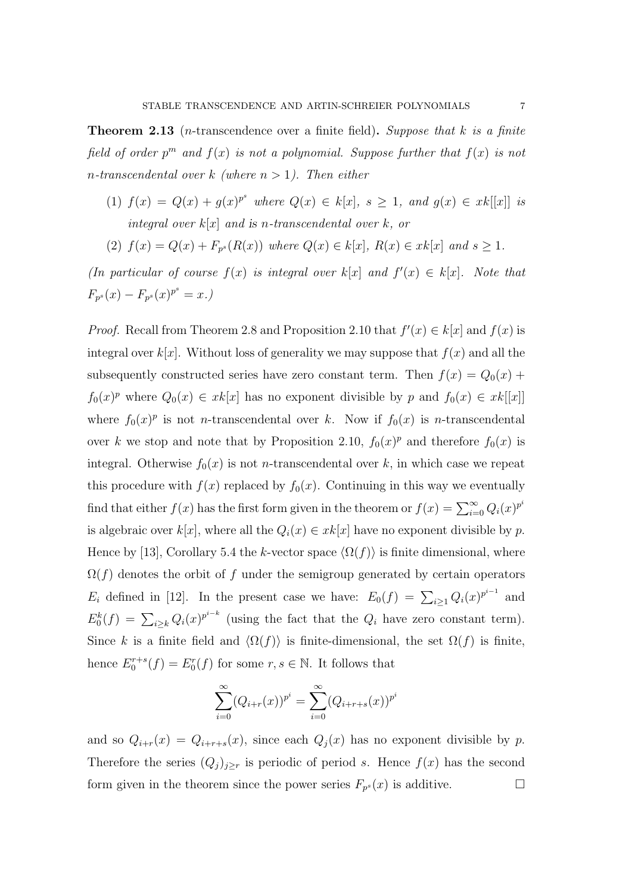**Theorem 2.13** (*n*-transcendence over a finite field). Suppose that k is a finite field of order  $p^m$  and  $f(x)$  is not a polynomial. Suppose further that  $f(x)$  is not n-transcendental over k (where  $n > 1$ ). Then either

- (1)  $f(x) = Q(x) + g(x)^{p^s}$  where  $Q(x) \in k[x]$ ,  $s \ge 1$ , and  $g(x) \in xk[[x]]$  is integral over  $k[x]$  and is n-transcendental over  $k$ , or
- (2)  $f(x) = Q(x) + F_{p^s}(R(x))$  where  $Q(x) \in k[x]$ ,  $R(x) \in xk[x]$  and  $s \ge 1$ .

(In particular of course  $f(x)$  is integral over  $k[x]$  and  $f'(x) \in k[x]$ . Note that  $F_{p^s}(x) - F_{p^s}(x)^{p^s} = x.$ 

*Proof.* Recall from Theorem 2.8 and Proposition 2.10 that  $f'(x) \in k[x]$  and  $f(x)$  is integral over  $k[x]$ . Without loss of generality we may suppose that  $f(x)$  and all the subsequently constructed series have zero constant term. Then  $f(x) = Q_0(x) +$  $f_0(x)^p$  where  $Q_0(x) \in xk[x]$  has no exponent divisible by p and  $f_0(x) \in xk[[x]]$ where  $f_0(x)^p$  is not *n*-transcendental over k. Now if  $f_0(x)$  is *n*-transcendental over k we stop and note that by Proposition 2.10,  $f_0(x)^p$  and therefore  $f_0(x)$  is integral. Otherwise  $f_0(x)$  is not *n*-transcendental over k, in which case we repeat this procedure with  $f(x)$  replaced by  $f_0(x)$ . Continuing in this way we eventually find that either  $f(x)$  has the first form given in the theorem or  $f(x) = \sum_{i=0}^{\infty} Q_i(x)^{p^i}$ is algebraic over  $k[x]$ , where all the  $Q_i(x) \in xk[x]$  have no exponent divisible by p. Hence by [13], Corollary 5.4 the k-vector space  $\langle \Omega(f) \rangle$  is finite dimensional, where  $\Omega(f)$  denotes the orbit of f under the semigroup generated by certain operators  $E_i$  defined in [12]. In the present case we have:  $E_0(f) = \sum_{i \geq 1} Q_i(x)^{p^{i-1}}$  and  $E_0^k(f) = \sum_{i \geq k} Q_i(x)^{p^{i-k}}$  (using the fact that the  $Q_i$  have zero constant term). Since k is a finite field and  $\langle \Omega(f) \rangle$  is finite-dimensional, the set  $\Omega(f)$  is finite, hence  $E_0^{r+s}(f) = E_0^r(f)$  for some  $r, s \in \mathbb{N}$ . It follows that

$$
\sum_{i=0}^{\infty} (Q_{i+r}(x))^{p^i} = \sum_{i=0}^{\infty} (Q_{i+r+s}(x))^{p^i}
$$

and so  $Q_{i+r}(x) = Q_{i+r+s}(x)$ , since each  $Q_i(x)$  has no exponent divisible by p. Therefore the series  $(Q_j)_{j\geq r}$  is periodic of period s. Hence  $f(x)$  has the second form given in the theorem since the power series  $F_{p^s}(x)$  is additive.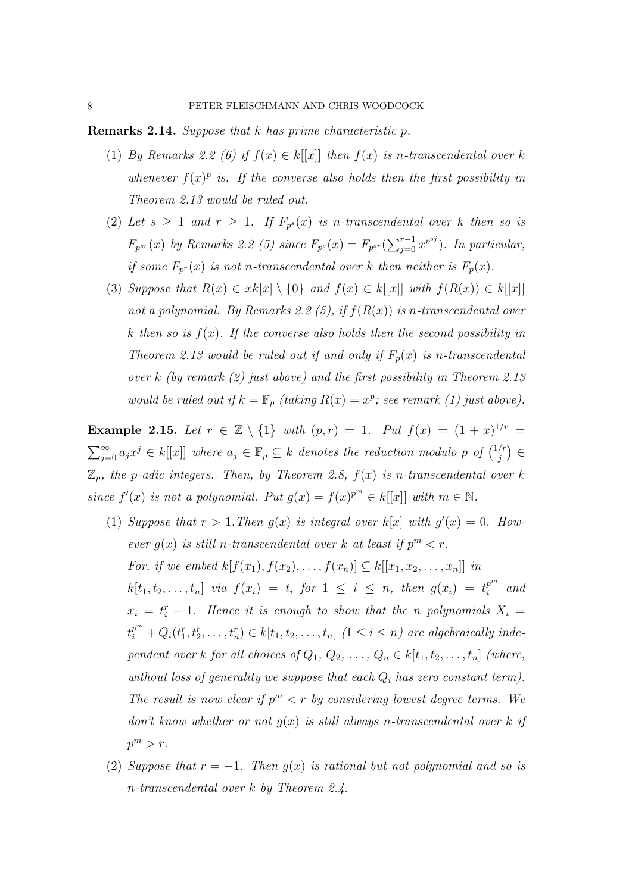Remarks 2.14. Suppose that k has prime characteristic p.

- (1) By Remarks 2.2 (6) if  $f(x) \in k[[x]]$  then  $f(x)$  is n-transcendental over k whenever  $f(x)^p$  is. If the converse also holds then the first possibility in Theorem 2.13 would be ruled out.
- (2) Let  $s \geq 1$  and  $r \geq 1$ . If  $F_{p^s}(x)$  is n-transcendental over k then so is  $F_{p^{sr}}(x)$  by Remarks 2.2 (5) since  $F_{p^s}(x) = F_{p^{sr}}(\sum_{j=0}^{r-1} x^{p^{sj}})$ . In particular, if some  $F_{p}(x)$  is not n-transcendental over k then neither is  $F_p(x)$ .
- (3) Suppose that  $R(x) \in xk[x] \setminus \{0\}$  and  $f(x) \in k[[x]]$  with  $f(R(x)) \in k[[x]]$ not a polynomial. By Remarks 2.2 (5), if  $f(R(x))$  is n-transcendental over k then so is  $f(x)$ . If the converse also holds then the second possibility in Theorem 2.13 would be ruled out if and only if  $F_p(x)$  is n-transcendental over k (by remark (2) just above) and the first possibility in Theorem 2.13 would be ruled out if  $k = \mathbb{F}_p$  (taking  $R(x) = x^p$ ; see remark (1) just above).

**Example 2.15.** Let  $r \in \mathbb{Z} \setminus \{1\}$  with  $(p,r) = 1$ . Put  $f(x) = (1+x)^{1/r} =$  $\sum_{j=0}^{\infty} a_j x^j \in k[[x]]$  where  $a_j \in \mathbb{F}_p \subseteq k$  denotes the reduction modulo p of  $\binom{1/r}{j}$  $\binom{r}{j} \in$  $\mathbb{Z}_p$ , the p-adic integers. Then, by Theorem 2.8,  $f(x)$  is n-transcendental over k since  $f'(x)$  is not a polynomial. Put  $g(x) = f(x)^{p^m} \in k[[x]]$  with  $m \in \mathbb{N}$ .

- (1) Suppose that  $r > 1$ . Then  $g(x)$  is integral over  $k[x]$  with  $g'(x) = 0$ . However  $g(x)$  is still n-transcendental over k at least if  $p^m < r$ . For, if we embed  $k[f(x_1), f(x_2), \ldots, f(x_n)] \subseteq k[[x_1, x_2, \ldots, x_n]]$  in  $k[t_1, t_2, \ldots, t_n]$  via  $f(x_i) = t_i$  for  $1 \leq i \leq n$ , then  $g(x_i) = t_i^{p^m}$  $\int_i^{p^m}$  and  $x_i = t_i^r - 1$ . Hence it is enough to show that the n polynomials  $X_i =$  $t_i^{p^m} + Q_i(t_1^r, t_2^r, \ldots, t_n^r) \in k[t_1, t_2, \ldots, t_n]$  ( $1 \leq i \leq n$ ) are algebraically independent over k for all choices of  $Q_1, Q_2, \ldots, Q_n \in k[t_1, t_2, \ldots, t_n]$  (where, without loss of generality we suppose that each  $Q_i$  has zero constant term). The result is now clear if  $p^m < r$  by considering lowest degree terms. We don't know whether or not  $g(x)$  is still always n-transcendental over k if  $p^m > r$ .
- (2) Suppose that  $r = -1$ . Then  $g(x)$  is rational but not polynomial and so is n-transcendental over k by Theorem 2.4.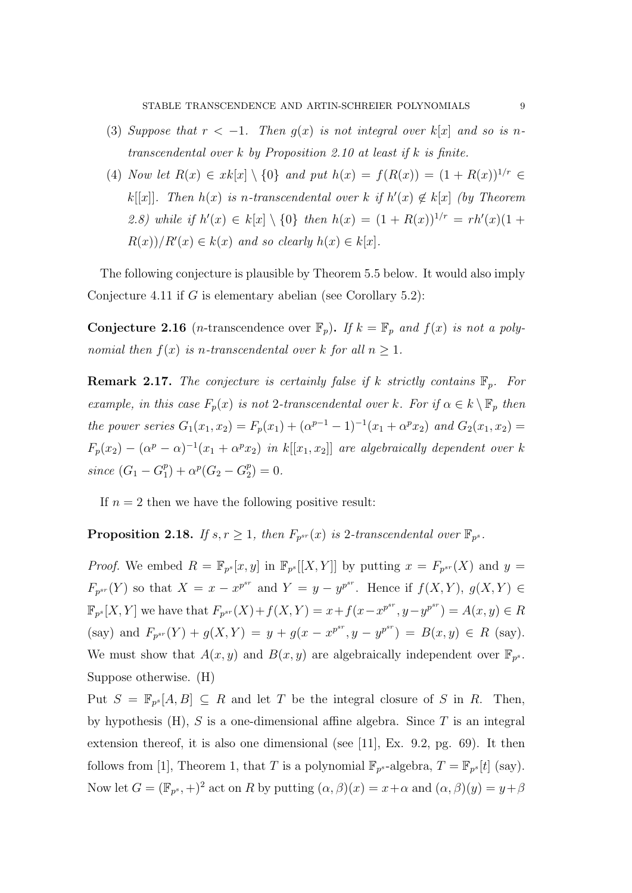- (3) Suppose that  $r < -1$ . Then  $g(x)$  is not integral over  $k[x]$  and so is ntranscendental over  $k$  by Proposition 2.10 at least if  $k$  is finite.
- (4) Now let  $R(x) \in xk[x] \setminus \{0\}$  and put  $h(x) = f(R(x)) = (1 + R(x))^{1/r} \in$ k[[x]]. Then  $h(x)$  is n-transcendental over k if  $h'(x) \notin k[x]$  (by Theorem 2.8) while if  $h'(x) \in k[x] \setminus \{0\}$  then  $h(x) = (1 + R(x))^{1/r} = rh'(x)(1 +$  $R(x)/R'(x) \in k(x)$  and so clearly  $h(x) \in k[x]$ .

The following conjecture is plausible by Theorem 5.5 below. It would also imply Conjecture 4.11 if  $G$  is elementary abelian (see Corollary 5.2):

**Conjecture 2.16** (*n*-transcendence over  $\mathbb{F}_p$ ). If  $k = \mathbb{F}_p$  and  $f(x)$  is not a polynomial then  $f(x)$  is n-transcendental over k for all  $n \geq 1$ .

**Remark 2.17.** The conjecture is certainly false if k strictly contains  $\mathbb{F}_n$ . For example, in this case  $F_p(x)$  is not 2-transcendental over k. For if  $\alpha \in k \setminus \mathbb{F}_p$  then the power series  $G_1(x_1, x_2) = F_p(x_1) + (\alpha^{p-1} - 1)^{-1}(x_1 + \alpha^p x_2)$  and  $G_2(x_1, x_2) =$  $F_p(x_2) - (\alpha^p - \alpha)^{-1}(x_1 + \alpha^p x_2)$  in  $k[[x_1, x_2]]$  are algebraically dependent over k since  $(G_1 - G_1^p)$  $_1^p$  +  $\alpha^p(G_2 - G_2^p)$  $_{2}^{p})=0.$ 

If  $n = 2$  then we have the following positive result:

**Proposition 2.18.** If  $s, r \geq 1$ , then  $F_{p^{sr}}(x)$  is 2-transcendental over  $\mathbb{F}_{p^s}$ .

*Proof.* We embed  $R = \mathbb{F}_{p^{s}}[x, y]$  in  $\mathbb{F}_{p^{s}}[[X, Y]]$  by putting  $x = F_{p^{sr}}(X)$  and  $y =$  $F_{p^{sr}}(Y)$  so that  $X = x - x^{p^{sr}}$  and  $Y = y - y^{p^{sr}}$ . Hence if  $f(X, Y), g(X, Y) \in$  $\mathbb{F}_{p^{s}}[X,Y]$  we have that  $F_{p^{sr}}(X) + f(X,Y) = x + f(x - x^{p^{sr}}, y - y^{p^{sr}}) = A(x,y) \in R$ (say) and  $F_{p^{sr}}(Y) + g(X, Y) = y + g(x - x^{p^{sr}}, y - y^{p^{sr}}) = B(x, y) \in R$  (say). We must show that  $A(x, y)$  and  $B(x, y)$  are algebraically independent over  $\mathbb{F}_{p^s}$ . Suppose otherwise. (H)

Put  $S = \mathbb{F}_{p^{s}}[A, B] \subseteq R$  and let T be the integral closure of S in R. Then, by hypothesis  $(H)$ , S is a one-dimensional affine algebra. Since T is an integral extension thereof, it is also one dimensional (see [11], Ex. 9.2, pg. 69). It then follows from [1], Theorem 1, that T is a polynomial  $\mathbb{F}_{p^s}$ -algebra,  $T = \mathbb{F}_{p^s}[t]$  (say). Now let  $G = (\mathbb{F}_{p^s}, +)^2$  act on R by putting  $(\alpha, \beta)(x) = x + \alpha$  and  $(\alpha, \beta)(y) = y + \beta$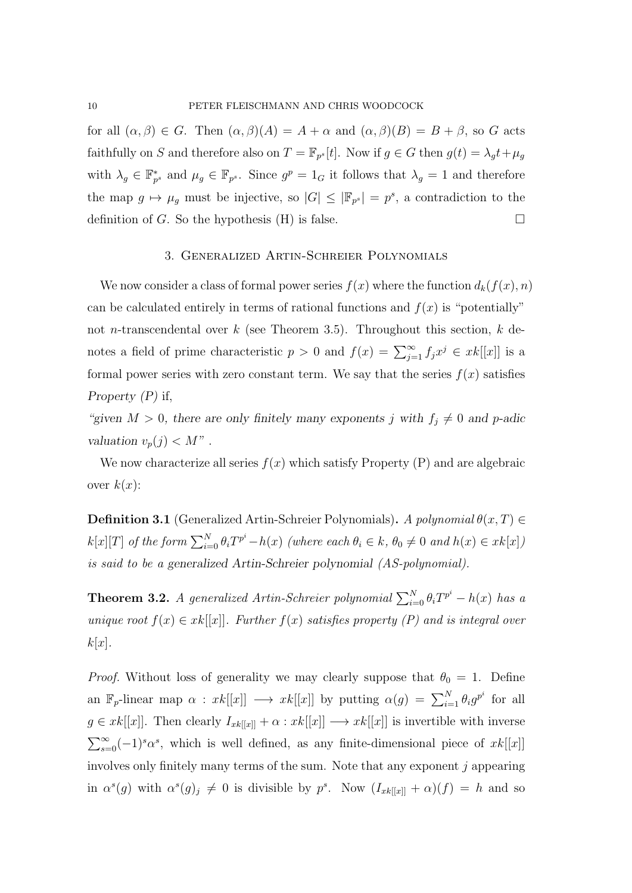for all  $(\alpha, \beta) \in G$ . Then  $(\alpha, \beta)(A) = A + \alpha$  and  $(\alpha, \beta)(B) = B + \beta$ , so G acts faithfully on S and therefore also on  $T = \mathbb{F}_{p^s}[t]$ . Now if  $g \in G$  then  $g(t) = \lambda_g t + \mu_g$ with  $\lambda_g \in \mathbb{F}_{p^s}^*$  and  $\mu_g \in \mathbb{F}_{p^s}$ . Since  $g^p = 1_G$  it follows that  $\lambda_g = 1$  and therefore the map  $g \mapsto \mu_g$  must be injective, so  $|G| \leq |\mathbb{F}_{p^s}| = p^s$ , a contradiction to the definition of G. So the hypothesis (H) is false.

#### 3. Generalized Artin-Schreier Polynomials

We now consider a class of formal power series  $f(x)$  where the function  $d_k(f(x), n)$ can be calculated entirely in terms of rational functions and  $f(x)$  is "potentially" not n-transcendental over k (see Theorem 3.5). Throughout this section, k denotes a field of prime characteristic  $p > 0$  and  $f(x) = \sum_{j=1}^{\infty} f_j x^j \in xk[[x]]$  is a formal power series with zero constant term. We say that the series  $f(x)$  satisfies Property  $(P)$  if,

"given  $M > 0$ , there are only finitely many exponents j with  $f_j \neq 0$  and p-adic valuation  $v_p(j) < M''$ .

We now characterize all series  $f(x)$  which satisfy Property (P) and are algebraic over  $k(x)$ :

**Definition 3.1** (Generalized Artin-Schreier Polynomials). A polynomial  $\theta(x,T) \in$  $k[x][T]$  of the form  $\sum_{i=0}^{N} \theta_i T^{p^i} - h(x)$  (where each  $\theta_i \in k$ ,  $\theta_0 \neq 0$  and  $h(x) \in xk[x]$ ) is said to be a generalized Artin-Schreier polynomial (AS-polynomial).

**Theorem 3.2.** A generalized Artin-Schreier polynomial  $\sum_{i=0}^{N} \theta_i T^{p^i} - h(x)$  has a unique root  $f(x) \in xk[[x]]$ . Further  $f(x)$  satisfies property (P) and is integral over  $k[x]$ .

*Proof.* Without loss of generality we may clearly suppose that  $\theta_0 = 1$ . Define an  $\mathbb{F}_p$ -linear map  $\alpha : xk[[x]] \longrightarrow xk[[x]]$  by putting  $\alpha(g) = \sum_{i=1}^N \theta_i g^{p^i}$  for all  $g \in xk[[x]]$ . Then clearly  $I_{xk[[x]]} + \alpha : xk[[x]] \longrightarrow xk[[x]]$  is invertible with inverse  $\sum_{s=0}^{\infty}(-1)^{s} \alpha^{s}$ , which is well defined, as any finite-dimensional piece of  $xk[[x]]$ involves only finitely many terms of the sum. Note that any exponent j appearing in  $\alpha^{s}(g)$  with  $\alpha^{s}(g)_{j} \neq 0$  is divisible by  $p^{s}$ . Now  $(I_{xk[[x]]} + \alpha)(f) = h$  and so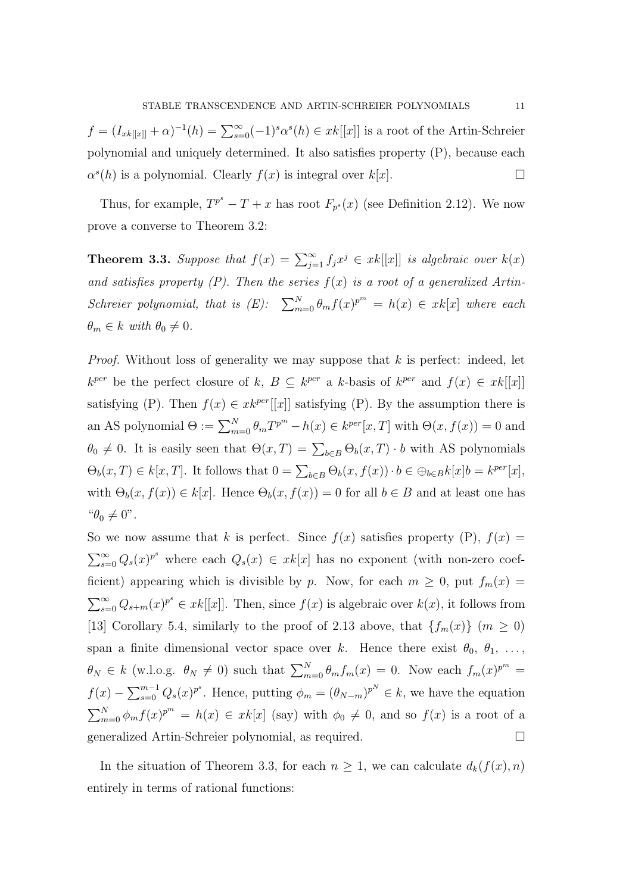$f = (I_{xk[[x]]} + \alpha)^{-1}(h) = \sum_{s=0}^{\infty} (-1)^s \alpha^s(h) \in xk[[x]]$  is a root of the Artin-Schreier polynomial and uniquely determined. It also satisfies property (P), because each  $\alpha^{s}(h)$  is a polynomial. Clearly  $f(x)$  is integral over  $k[x]$ .

Thus, for example,  $T^{p^s} - T + x$  has root  $F_{p^s}(x)$  (see Definition 2.12). We now prove a converse to Theorem 3.2:

**Theorem 3.3.** Suppose that  $f(x) = \sum_{j=1}^{\infty} f_j x^j \in xk[[x]]$  is algebraic over  $k(x)$ and satisfies property  $(P)$ . Then the series  $f(x)$  is a root of a generalized Artin-Schreier polynomial, that is  $(E)$ :  $\sum_{m=0}^{N} \theta_m f(x)^{p^m} = h(x) \in xk[x]$  where each  $\theta_m \in k$  with  $\theta_0 \neq 0$ .

*Proof.* Without loss of generality we may suppose that  $k$  is perfect: indeed, let  $k^{per}$  be the perfect closure of k,  $B \subseteq k^{per}$  a k-basis of  $k^{per}$  and  $f(x) \in xk[[x]]$ satisfying (P). Then  $f(x) \in x k^{per}[[x]]$  satisfying (P). By the assumption there is an AS polynomial  $\Theta := \sum_{m=0}^{N} \theta_m T^{p^m} - h(x) \in k^{per}[x, T]$  with  $\Theta(x, f(x)) = 0$  and  $\theta_0 \neq 0$ . It is easily seen that  $\Theta(x,T) = \sum_{b \in B} \Theta_b(x,T) \cdot b$  with AS polynomials  $\Theta_b(x,T) \in k[x,T]$ . It follows that  $0 = \sum_{b \in B} \Theta_b(x, f(x)) \cdot b \in \oplus_{b \in B} k[x]b = k^{per}[x]$ , with  $\Theta_b(x, f(x)) \in k[x]$ . Hence  $\Theta_b(x, f(x)) = 0$  for all  $b \in B$  and at least one has " $\theta_0 \neq 0$ ".

So we now assume that k is perfect. Since  $f(x)$  satisfies property  $(P)$ ,  $f(x) =$  $\sum_{s=0}^{\infty} Q_s(x)^{p^s}$  where each  $Q_s(x) \in xk[x]$  has no exponent (with non-zero coefficient) appearing which is divisible by p. Now, for each  $m \geq 0$ , put  $f_m(x) =$  $\sum_{s=0}^{\infty} Q_{s+m}(x)^{p^s} \in xk[[x]]$ . Then, since  $f(x)$  is algebraic over  $k(x)$ , it follows from [13] Corollary 5.4, similarly to the proof of 2.13 above, that  $\{f_m(x)\}\ (m \geq 0)$ span a finite dimensional vector space over k. Hence there exist  $\theta_0, \theta_1, \ldots,$  $\theta_N \in k$  (w.l.o.g.  $\theta_N \neq 0$ ) such that  $\sum_{m=0}^N \theta_m f_m(x) = 0$ . Now each  $f_m(x)^{p^m} =$  $f(x) - \sum_{s=0}^{m-1} Q_s(x)^{p^s}$ . Hence, putting  $\phi_m = (\theta_{N-m})^{p^N} \in k$ , we have the equation  $\sum_{m=0}^{N} \phi_m f(x)^{p^m} = h(x) \in xk[x]$  (say) with  $\phi_0 \neq 0$ , and so  $f(x)$  is a root of a generalized Artin-Schreier polynomial, as required.

In the situation of Theorem 3.3, for each  $n \geq 1$ , we can calculate  $d_k(f(x), n)$ entirely in terms of rational functions: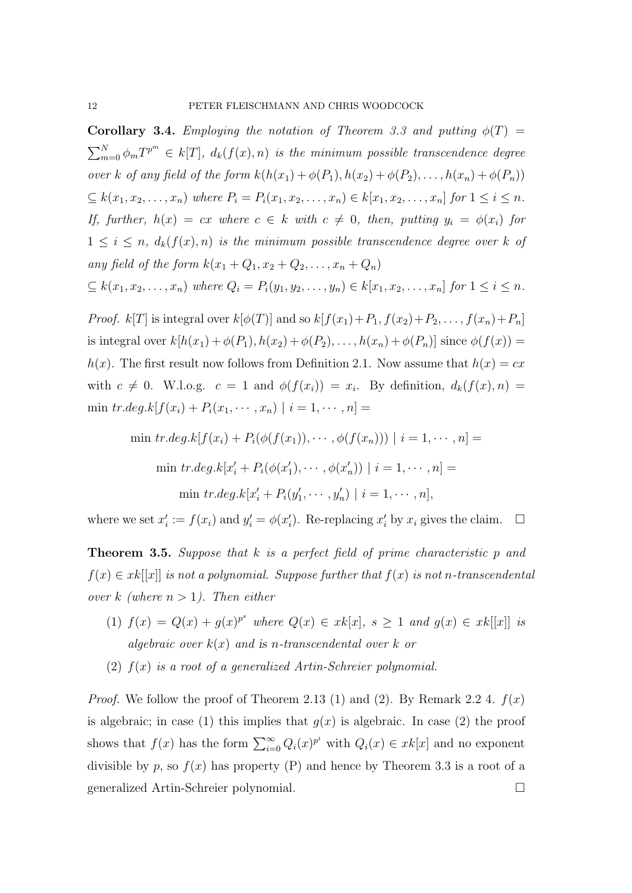**Corollary 3.4.** Employing the notation of Theorem 3.3 and putting  $\phi(T)$  =  $\sum_{m=0}^{N} \phi_m T^{p^m} \in k[T], d_k(f(x), n)$  is the minimum possible transcendence degree over k of any field of the form  $k(h(x_1) + \phi(P_1), h(x_2) + \phi(P_2), \ldots, h(x_n) + \phi(P_n))$  $\subseteq k(x_1, x_2, \ldots, x_n)$  where  $P_i = P_i(x_1, x_2, \ldots, x_n) \in k[x_1, x_2, \ldots, x_n]$  for  $1 \le i \le n$ . If, further,  $h(x) = cx$  where  $c \in k$  with  $c \neq 0$ , then, putting  $y_i = \phi(x_i)$  for  $1 \leq i \leq n$ ,  $d_k(f(x), n)$  is the minimum possible transcendence degree over k of any field of the form  $k(x_1 + Q_1, x_2 + Q_2, ..., x_n + Q_n)$ 

$$
\subseteq k(x_1, x_2, \ldots, x_n) \text{ where } Q_i = P_i(y_1, y_2, \ldots, y_n) \in k[x_1, x_2, \ldots, x_n] \text{ for } 1 \leq i \leq n.
$$

*Proof.*  $k[T]$  is integral over  $k[\phi(T)]$  and so  $k[f(x_1)+P_1, f(x_2)+P_2, \ldots, f(x_n)+P_n]$ is integral over  $k[h(x_1) + \phi(P_1), h(x_2) + \phi(P_2), \ldots, h(x_n) + \phi(P_n)]$  since  $\phi(f(x)) =$  $h(x)$ . The first result now follows from Definition 2.1. Now assume that  $h(x) = cx$ with  $c \neq 0$ . W.l.o.g.  $c = 1$  and  $\phi(f(x_i)) = x_i$ . By definition,  $d_k(f(x), n) =$ min  $tr.deg.k[f(x_i) + P_i(x_1, \dots, x_n) | i = 1, \dots, n] =$ 

$$
\min tr.deg.k[f(x_i) + P_i(\phi(f(x_1)), \cdots, \phi(f(x_n))) \mid i = 1, \cdots, n] =
$$
  

$$
\min tr.deg.k[x'_i + P_i(\phi(x'_1), \cdots, \phi(x'_n)) \mid i = 1, \cdots, n] =
$$
  

$$
\min tr.deg.k[x'_i + P_i(y'_1, \cdots, y'_n) \mid i = 1, \cdots, n],
$$

where we set  $x'_i := f(x_i)$  and  $y'_i = \phi(x'_i)$ . Re-replacing  $x'_i$  by  $x_i$  gives the claim.  $\Box$ 

**Theorem 3.5.** Suppose that k is a perfect field of prime characteristic p and  $f(x) \in xk[[x]]$  is not a polynomial. Suppose further that  $f(x)$  is not n-transcendental over k (where  $n > 1$ ). Then either

- (1)  $f(x) = Q(x) + g(x)^{p^s}$  where  $Q(x) \in xk[x]$ ,  $s \ge 1$  and  $g(x) \in xk[[x]]$  is algebraic over  $k(x)$  and is n-transcendental over k or
- (2)  $f(x)$  is a root of a generalized Artin-Schreier polynomial.

*Proof.* We follow the proof of Theorem 2.13 (1) and (2). By Remark 2.2 4.  $f(x)$ is algebraic; in case (1) this implies that  $g(x)$  is algebraic. In case (2) the proof shows that  $f(x)$  has the form  $\sum_{i=0}^{\infty} Q_i(x)^{p^i}$  with  $Q_i(x) \in xk[x]$  and no exponent divisible by p, so  $f(x)$  has property (P) and hence by Theorem 3.3 is a root of a generalized Artin-Schreier polynomial.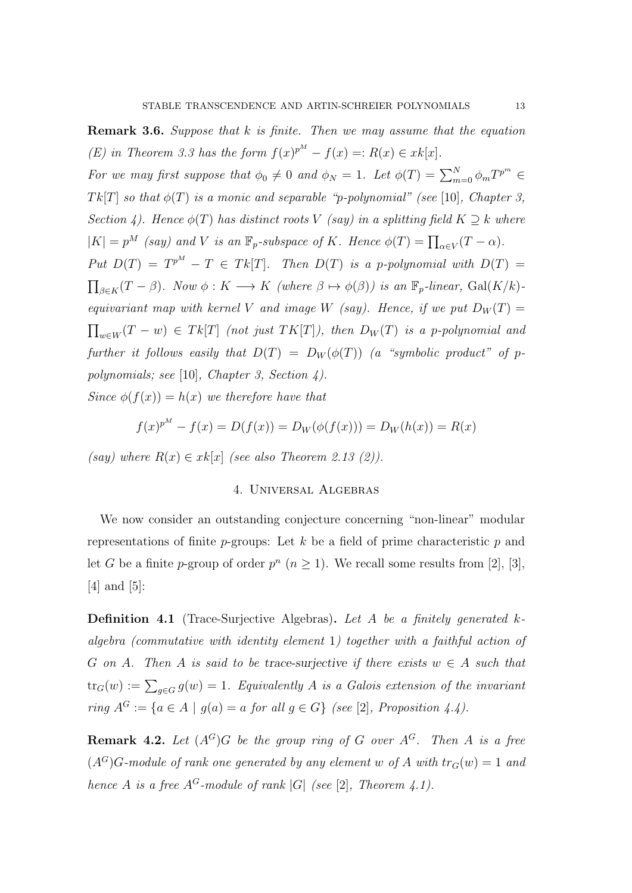Remark 3.6. Suppose that k is finite. Then we may assume that the equation (E) in Theorem 3.3 has the form  $f(x)^{p^M} - f(x) =: R(x) \in xk[x]$ . For we may first suppose that  $\phi_0 \neq 0$  and  $\phi_N = 1$ . Let  $\phi(T) = \sum_{m=0}^{N} \phi_m T^{p^m}$ Tk[T] so that  $\phi(T)$  is a monic and separable "p-polynomial" (see [10], Chapter 3, Section 4). Hence  $\phi(T)$  has distinct roots V (say) in a splitting field  $K \supset k$  where  $|K| = p^M$  (say) and V is an  $\mathbb{F}_p$ -subspace of K. Hence  $\phi(T) = \prod_{\alpha \in V} (T - \alpha)$ . Put  $D(T) = T^{p^M} - T \in Tk[T]$ . Then  $D(T)$  is a p-polynomial with  $D(T) =$  $\prod_{\beta \in K}(T - \beta)$ . Now  $\phi : K \longrightarrow K$  (where  $\beta \mapsto \phi(\beta)$ ) is an  $\mathbb{F}_p$ -linear,  $Gal(K/k)$ equivariant map with kernel V and image W (say). Hence, if we put  $D_W(T) =$  $\prod_{w \in W} (T - w) \in T k[T]$  (not just  $TK[T]$ ), then  $D_W(T)$  is a p-polynomial and further it follows easily that  $D(T) = D_W(\phi(T))$  (a "symbolic product" of ppolynomials; see [10], Chapter 3, Section 4).

Since  $\phi(f(x)) = h(x)$  we therefore have that

$$
f(x)^{p^M} - f(x) = D(f(x)) = D_W(\phi(f(x))) = D_W(h(x)) = R(x)
$$

(say) where  $R(x) \in xk[x]$  (see also Theorem 2.13 (2)).

#### 4. Universal Algebras

We now consider an outstanding conjecture concerning "non-linear" modular representations of finite  $p$ -groups: Let k be a field of prime characteristic  $p$  and let G be a finite p-group of order  $p^{n}$   $(n \geq 1)$ . We recall some results from [2], [3], [4] and [5]:

**Definition 4.1** (Trace-Surjective Algebras). Let A be a finitely generated kalgebra (commutative with identity element 1) together with a faithful action of G on A. Then A is said to be trace-surjective if there exists  $w \in A$  such that  $\text{tr}_G(w) := \sum_{g \in G} g(w) = 1$ . Equivalently A is a Galois extension of the invariant ring  $A^G := \{a \in A \mid g(a) = a \text{ for all } g \in G\}$  (see [2], Proposition 4.4).

**Remark 4.2.** Let  $(A^G)G$  be the group ring of G over  $A^G$ . Then A is a free  $(A<sup>G</sup>)G$ -module of rank one generated by any element w of A with  $tr_G(w) = 1$  and hence A is a free  $A^G$ -module of rank |G| (see [2], Theorem 4.1).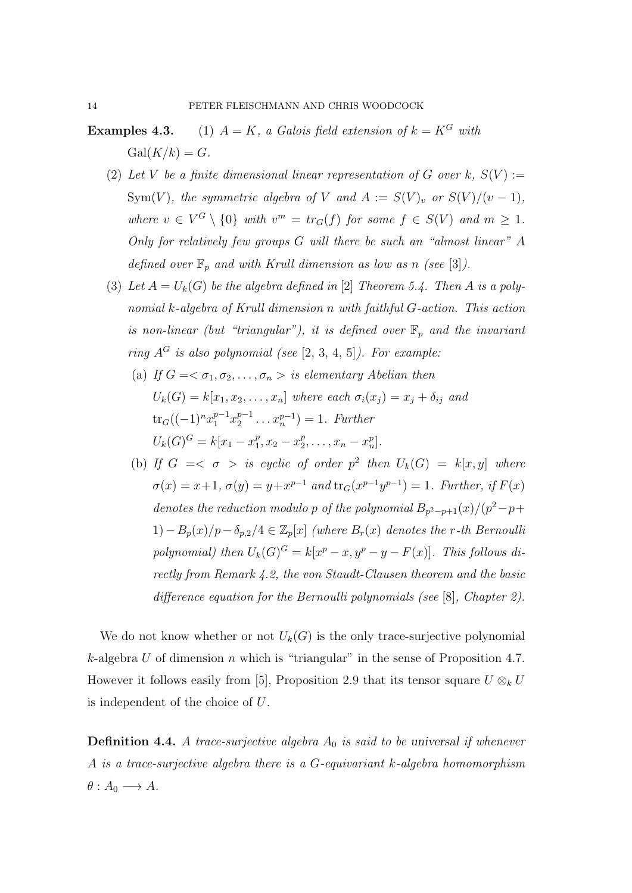**Examples 4.3.** (1)  $A = K$ , a Galois field extension of  $k = K^G$  with  $Gal(K/k) = G.$ 

- (2) Let V be a finite dimensional linear representation of G over k,  $S(V)$  := Sym(V), the symmetric algebra of V and  $A := S(V)_v$  or  $S(V)/(v-1)$ , where  $v \in V^G \setminus \{0\}$  with  $v^m = tr_G(f)$  for some  $f \in S(V)$  and  $m \geq 1$ . Only for relatively few groups G will there be such an "almost linear" A defined over  $\mathbb{F}_p$  and with Krull dimension as low as n (see [3]).
- (3) Let  $A = U_k(G)$  be the algebra defined in [2] Theorem 5.4. Then A is a polynomial k-algebra of Krull dimension n with faithful G-action. This action is non-linear (but "triangular"), it is defined over  $\mathbb{F}_p$  and the invariant ring  $A^G$  is also polynomial (see [2, 3, 4, 5]). For example:
	- (a) If  $G = \langle \sigma_1, \sigma_2, \ldots, \sigma_n \rangle$  is elementary Abelian then  $U_k(G) = k[x_1, x_2, \ldots, x_n]$  where each  $\sigma_i(x_j) = x_j + \delta_{ij}$  and  $\mathrm{tr}_G((-1)^n x_1^{p-1} x_2^{p-1})$  $x_2^{p-1} \ldots x_n^{p-1}$  = 1. Further  $U_k(G)^G = k[x_1 - x_1^p]$  $_1^p, x_2-x_2^p$  $_{2}^{p},\ldots,x_{n}-x_{n}^{p}].$
	- (b) If  $G = \langle \sigma \rangle$  is cyclic of order  $p^2$  then  $U_k(G) = k[x, y]$  where  $\sigma(x) = x+1, \sigma(y) = y+x^{p-1} \text{ and } \text{tr}_G(x^{p-1}y^{p-1}) = 1. \text{ Further, if } F(x)$ denotes the reduction modulo p of the polynomial  $B_{p^2-p+1}(x)/(p^2-p+$  $1)-B_p(x)/p-\delta_{p,2}/4 \in \mathbb{Z}_p[x]$  (where  $B_r(x)$  denotes the r-th Bernoulli polynomial) then  $U_k(G)^G = k[x^p - x, y^p - y - F(x)]$ . This follows directly from Remark 4.2, the von Staudt-Clausen theorem and the basic difference equation for the Bernoulli polynomials (see [8], Chapter 2).

We do not know whether or not  $U_k(G)$  is the only trace-surjective polynomial k-algebra U of dimension n which is "triangular" in the sense of Proposition 4.7. However it follows easily from [5], Proposition 2.9 that its tensor square  $U \otimes_k U$ is independent of the choice of U.

**Definition 4.4.** A trace-surjective algebra  $A_0$  is said to be universal if whenever A is a trace-surjective algebra there is a G-equivariant k-algebra homomorphism  $\theta: A_0 \longrightarrow A$ .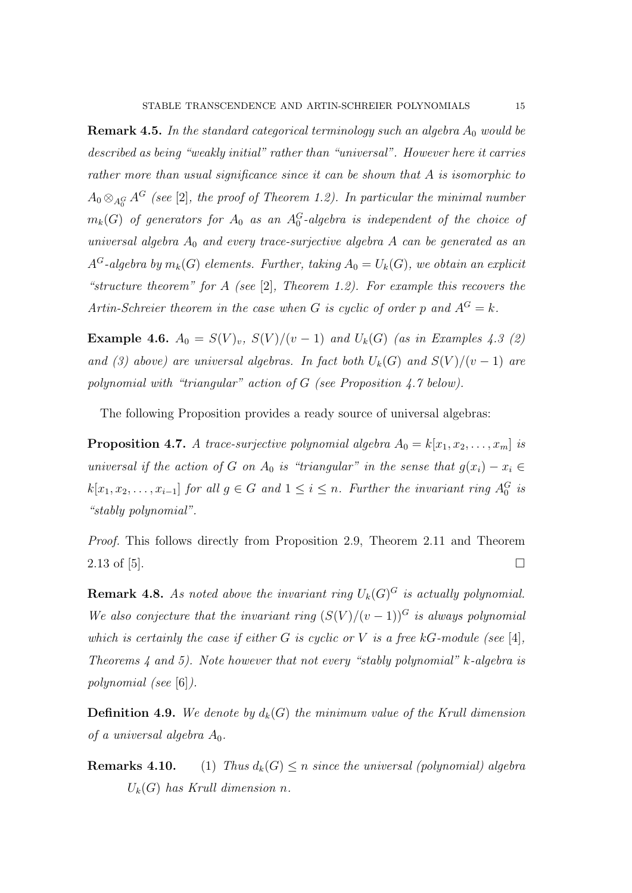**Remark 4.5.** In the standard categorical terminology such an algebra  $A_0$  would be described as being "weakly initial" rather than "universal". However here it carries rather more than usual significance since it can be shown that A is isomorphic to  $A_0 \otimes_{A_0^G} A^G$  (see [2], the proof of Theorem 1.2). In particular the minimal number  $m_k(G)$  of generators for  $A_0$  as an  $A_0^G$ -algebra is independent of the choice of universal algebra  $A_0$  and every trace-surjective algebra A can be generated as an  $A^G$ -algebra by  $m_k(G)$  elements. Further, taking  $A_0 = U_k(G)$ , we obtain an explicit "structure theorem" for A (see [2], Theorem 1.2). For example this recovers the Artin-Schreier theorem in the case when G is cyclic of order p and  $A^G = k$ .

Example 4.6.  $A_0 = S(V)_v$ ,  $S(V)/(v-1)$  and  $U_k(G)$  (as in Examples 4.3 (2) and (3) above) are universal algebras. In fact both  $U_k(G)$  and  $S(V)/(v-1)$  are polynomial with "triangular" action of G (see Proposition 4.7 below).

The following Proposition provides a ready source of universal algebras:

**Proposition 4.7.** A trace-surjective polynomial algebra  $A_0 = k[x_1, x_2, \ldots, x_m]$  is universal if the action of G on  $A_0$  is "triangular" in the sense that  $g(x_i) - x_i \in$  $k[x_1, x_2, \ldots, x_{i-1}]$  for all  $g \in G$  and  $1 \leq i \leq n$ . Further the invariant ring  $A_0^G$  is "stably polynomial".

Proof. This follows directly from Proposition 2.9, Theorem 2.11 and Theorem 2.13 of [5].

**Remark 4.8.** As noted above the invariant ring  $U_k(G)^G$  is actually polynomial. We also conjecture that the invariant ring  $(S(V)/(v-1))^G$  is always polynomial which is certainly the case if either  $G$  is cyclic or  $V$  is a free kG-module (see [4], Theorems 4 and 5). Note however that not every "stably polynomial" k-algebra is polynomial (see [6]).

**Definition 4.9.** We denote by  $d_k(G)$  the minimum value of the Krull dimension of a universal algebra  $A_0$ .

**Remarks 4.10.** (1) Thus  $d_k(G) \leq n$  since the universal (polynomial) algebra  $U_k(G)$  has Krull dimension n.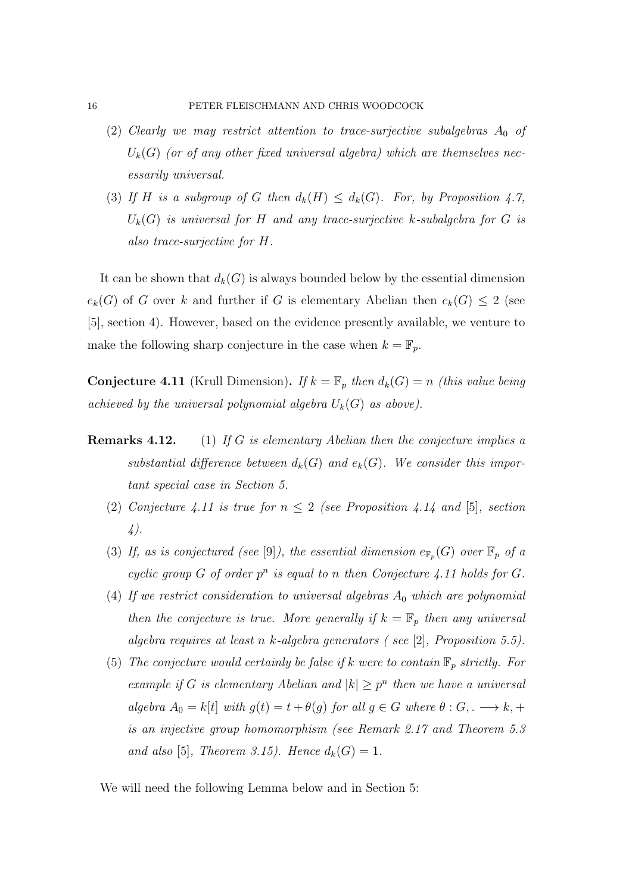- (2) Clearly we may restrict attention to trace-surjective subalgebras  $A_0$  of  $U_k(G)$  (or of any other fixed universal algebra) which are themselves necessarily universal.
- (3) If H is a subgroup of G then  $d_k(H) \leq d_k(G)$ . For, by Proposition 4.7,  $U_k(G)$  is universal for H and any trace-surjective k-subalgebra for G is also trace-surjective for H.

It can be shown that  $d_k(G)$  is always bounded below by the essential dimension  $e_k(G)$  of G over k and further if G is elementary Abelian then  $e_k(G) \leq 2$  (see [5], section 4). However, based on the evidence presently available, we venture to make the following sharp conjecture in the case when  $k = \mathbb{F}_p$ .

**Conjecture 4.11** (Krull Dimension). If  $k = \mathbb{F}_p$  then  $d_k(G) = n$  (this value being achieved by the universal polynomial algebra  $U_k(G)$  as above).

- **Remarks 4.12.** (1) If G is elementary Abelian then the conjecture implies a substantial difference between  $d_k(G)$  and  $e_k(G)$ . We consider this important special case in Section 5.
	- (2) Conjecture 4.11 is true for  $n \leq 2$  (see Proposition 4.14 and [5], section 4).
	- (3) If, as is conjectured (see [9]), the essential dimension  $e_{\mathbb{F}_p}(G)$  over  $\mathbb{F}_p$  of a cyclic group  $G$  of order  $p^n$  is equal to n then Conjecture 4.11 holds for  $G$ .
	- (4) If we restrict consideration to universal algebras  $A_0$  which are polynomial then the conjecture is true. More generally if  $k = \mathbb{F}_p$  then any universal algebra requires at least n k-algebra generators ( see [2], Proposition 5.5).
	- (5) The conjecture would certainly be false if k were to contain  $\mathbb{F}_p$  strictly. For example if G is elementary Abelian and  $|k| \geq p^n$  then we have a universal algebra  $A_0 = k[t]$  with  $g(t) = t + \theta(g)$  for all  $g \in G$  where  $\theta : G, \longrightarrow k, +$ is an injective group homomorphism (see Remark 2.17 and Theorem 5.3 and also [5], Theorem 3.15). Hence  $d_k(G) = 1$ .

We will need the following Lemma below and in Section 5: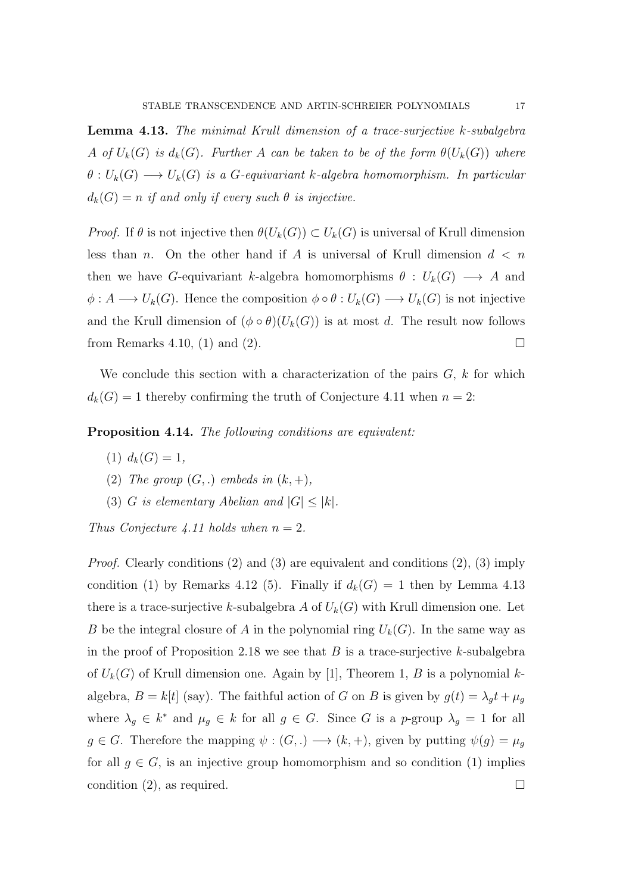Lemma 4.13. The minimal Krull dimension of a trace-surjective k-subalgebra A of  $U_k(G)$  is  $d_k(G)$ . Further A can be taken to be of the form  $\theta(U_k(G))$  where  $\theta: U_k(G) \longrightarrow U_k(G)$  is a G-equivariant k-algebra homomorphism. In particular  $d_k(G) = n$  if and only if every such  $\theta$  is injective.

*Proof.* If  $\theta$  is not injective then  $\theta(U_k(G)) \subset U_k(G)$  is universal of Krull dimension less than n. On the other hand if A is universal of Krull dimension  $d \leq n$ then we have G-equivariant k-algebra homomorphisms  $\theta : U_k(G) \longrightarrow A$  and  $\phi: A \longrightarrow U_k(G)$ . Hence the composition  $\phi \circ \theta: U_k(G) \longrightarrow U_k(G)$  is not injective and the Krull dimension of  $(\phi \circ \theta)(U_k(G))$  is at most d. The result now follows from Remarks 4.10, (1) and (2).

We conclude this section with a characterization of the pairs  $G, k$  for which  $d_k(G) = 1$  thereby confirming the truth of Conjecture 4.11 when  $n = 2$ :

Proposition 4.14. The following conditions are equivalent:

- (1)  $d_k(G) = 1$ ,
- (2) The group  $(G,.)$  embeds in  $(k, +)$ ,
- (3) G is elementary Abelian and  $|G| \leq |k|$ .

Thus Conjecture 4.11 holds when  $n = 2$ .

*Proof.* Clearly conditions (2) and (3) are equivalent and conditions (2), (3) imply condition (1) by Remarks 4.12 (5). Finally if  $d_k(G) = 1$  then by Lemma 4.13 there is a trace-surjective k-subalgebra A of  $U_k(G)$  with Krull dimension one. Let B be the integral closure of A in the polynomial ring  $U_k(G)$ . In the same way as in the proof of Proposition 2.18 we see that  $B$  is a trace-surjective k-subalgebra of  $U_k(G)$  of Krull dimension one. Again by [1], Theorem 1, B is a polynomial kalgebra,  $B = k[t]$  (say). The faithful action of G on B is given by  $g(t) = \lambda_g t + \mu_g$ where  $\lambda_g \in k^*$  and  $\mu_g \in k$  for all  $g \in G$ . Since G is a p-group  $\lambda_g = 1$  for all  $g \in G$ . Therefore the mapping  $\psi : (G,.) \longrightarrow (k, +)$ , given by putting  $\psi(g) = \mu_g$ for all  $g \in G$ , is an injective group homomorphism and so condition (1) implies condition (2), as required.  $\Box$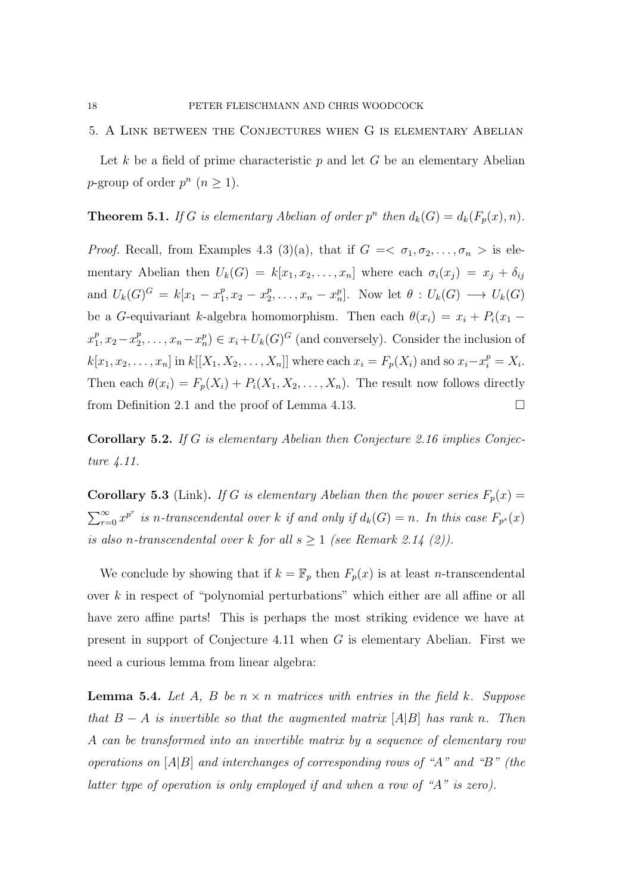#### 5. A Link between the Conjectures when G is elementary Abelian

Let k be a field of prime characteristic  $p$  and let G be an elementary Abelian p-group of order  $p^n$   $(n \geq 1)$ .

#### **Theorem 5.1.** If G is elementary Abelian of order  $p^n$  then  $d_k(G) = d_k(F_p(x), n)$ .

*Proof.* Recall, from Examples 4.3 (3)(a), that if  $G = \langle \sigma_1, \sigma_2, \ldots, \sigma_n \rangle$  is elementary Abelian then  $U_k(G) = k[x_1, x_2, \ldots, x_n]$  where each  $\sigma_i(x_j) = x_j + \delta_{ij}$ and  $U_k(G)^G = k[x_1 - x_1^p]$  $x_1^p, x_2 - x_2^p$  $Z_2^p, \ldots, x_n - x_n^p$ . Now let  $\theta : U_k(G) \longrightarrow U_k(G)$ be a G-equivariant k-algebra homomorphism. Then each  $\theta(x_i) = x_i + P_i(x_1$  $x_1^p$  $_1^p, x_2-x_2^p$  $x_2^p, \ldots, x_n - x_n^p \in x_i + U_k(G)^G$  (and conversely). Consider the inclusion of  $k[x_1, x_2, \ldots, x_n]$  in  $k[[X_1, X_2, \ldots, X_n]]$  where each  $x_i = F_p(X_i)$  and so  $x_i - x_i^p = X_i$ . Then each  $\theta(x_i) = F_p(X_i) + P_i(X_1, X_2, \dots, X_n)$ . The result now follows directly from Definition 2.1 and the proof of Lemma 4.13.

Corollary 5.2. If G is elementary Abelian then Conjecture 2.16 implies Conjecture 4.11.

**Corollary 5.3** (Link). If G is elementary Abelian then the power series  $F_p(x) =$  $\sum_{r=0}^{\infty} x^{p^r}$  is n-transcendental over k if and only if  $d_k(G) = n$ . In this case  $F_{p^s}(x)$ is also n-transcendental over k for all  $s \geq 1$  (see Remark 2.14 (2)).

We conclude by showing that if  $k = \mathbb{F}_p$  then  $F_p(x)$  is at least *n*-transcendental over k in respect of "polynomial perturbations" which either are all affine or all have zero affine parts! This is perhaps the most striking evidence we have at present in support of Conjecture 4.11 when G is elementary Abelian. First we need a curious lemma from linear algebra:

**Lemma 5.4.** Let A, B be  $n \times n$  matrices with entries in the field k. Suppose that  $B - A$  is invertible so that the augmented matrix  $[A|B]$  has rank n. Then A can be transformed into an invertible matrix by a sequence of elementary row operations on  $[A|B]$  and interchanges of corresponding rows of "A" and "B" (the latter type of operation is only employed if and when a row of "A" is zero).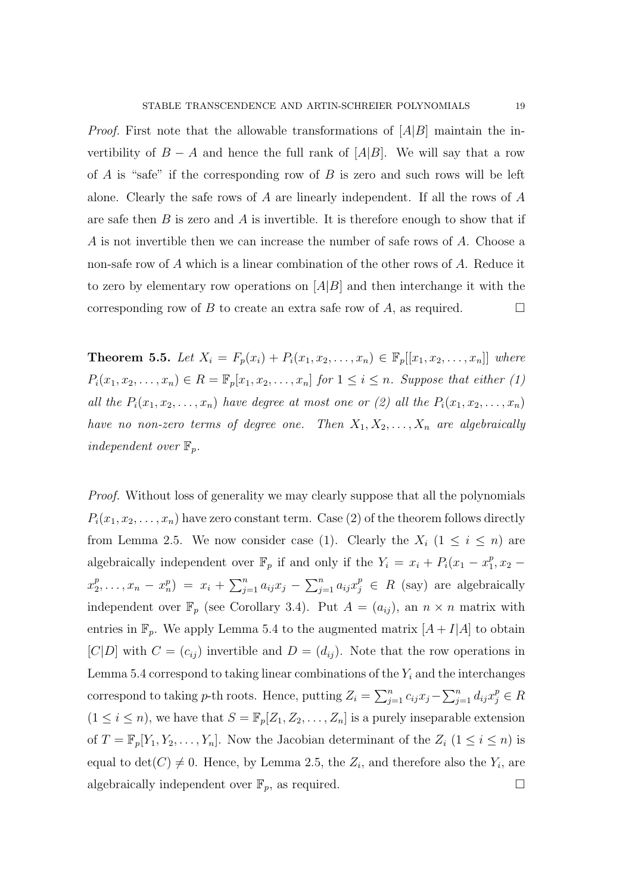*Proof.* First note that the allowable transformations of  $[A|B]$  maintain the invertibility of  $B - A$  and hence the full rank of  $[A|B]$ . We will say that a row of  $A$  is "safe" if the corresponding row of  $B$  is zero and such rows will be left alone. Clearly the safe rows of  $A$  are linearly independent. If all the rows of  $A$ are safe then  $B$  is zero and  $A$  is invertible. It is therefore enough to show that if A is not invertible then we can increase the number of safe rows of A. Choose a non-safe row of A which is a linear combination of the other rows of A. Reduce it to zero by elementary row operations on  $[A|B]$  and then interchange it with the corresponding row of B to create an extra safe row of A, as required.  $\Box$ 

**Theorem 5.5.** Let  $X_i = F_p(x_i) + P_i(x_1, x_2, ..., x_n) \in \mathbb{F}_p[[x_1, x_2, ..., x_n]]$  where  $P_i(x_1, x_2, \ldots, x_n) \in R = \mathbb{F}_p[x_1, x_2, \ldots, x_n]$  for  $1 \leq i \leq n$ . Suppose that either (1) all the  $P_i(x_1, x_2, \ldots, x_n)$  have degree at most one or (2) all the  $P_i(x_1, x_2, \ldots, x_n)$ have no non-zero terms of degree one. Then  $X_1, X_2, \ldots, X_n$  are algebraically independent over  $\mathbb{F}_p$ .

Proof. Without loss of generality we may clearly suppose that all the polynomials  $P_i(x_1, x_2, \ldots, x_n)$  have zero constant term. Case (2) of the theorem follows directly from Lemma 2.5. We now consider case (1). Clearly the  $X_i$  (1  $\leq i \leq n$ ) are algebraically independent over  $\mathbb{F}_p$  if and only if the  $Y_i = x_i + P_i(x_1 - x_1^p)$  $_{1}^{p}, x_{2}$  $x_2^p$  $\left( \sum_{j=1}^p a_{ij} x_j - \sum_{j=1}^n a_{ij} x_j - \sum_{j=1}^n a_{ij} x_j^p \right)$  are algebraically independent over  $\mathbb{F}_p$  (see Corollary 3.4). Put  $A = (a_{ij})$ , an  $n \times n$  matrix with entries in  $\mathbb{F}_p$ . We apply Lemma 5.4 to the augmented matrix  $[A + I]A$  to obtain  $[C|D]$  with  $C = (c_{ij})$  invertible and  $D = (d_{ij})$ . Note that the row operations in Lemma 5.4 correspond to taking linear combinations of the  $Y_i$  and the interchanges correspond to taking p-th roots. Hence, putting  $Z_i = \sum_{j=1}^n c_{ij} x_j - \sum_{j=1}^n d_{ij} x_j^p \in R$  $(1 \leq i \leq n)$ , we have that  $S = \mathbb{F}_p[Z_1, Z_2, \dots, Z_n]$  is a purely inseparable extension of  $T = \mathbb{F}_p[Y_1, Y_2, \ldots, Y_n]$ . Now the Jacobian determinant of the  $Z_i$   $(1 \leq i \leq n)$  is equal to  $\det(C) \neq 0$ . Hence, by Lemma 2.5, the  $Z_i$ , and therefore also the  $Y_i$ , are algebraically independent over  $\mathbb{F}_p$ , as required.